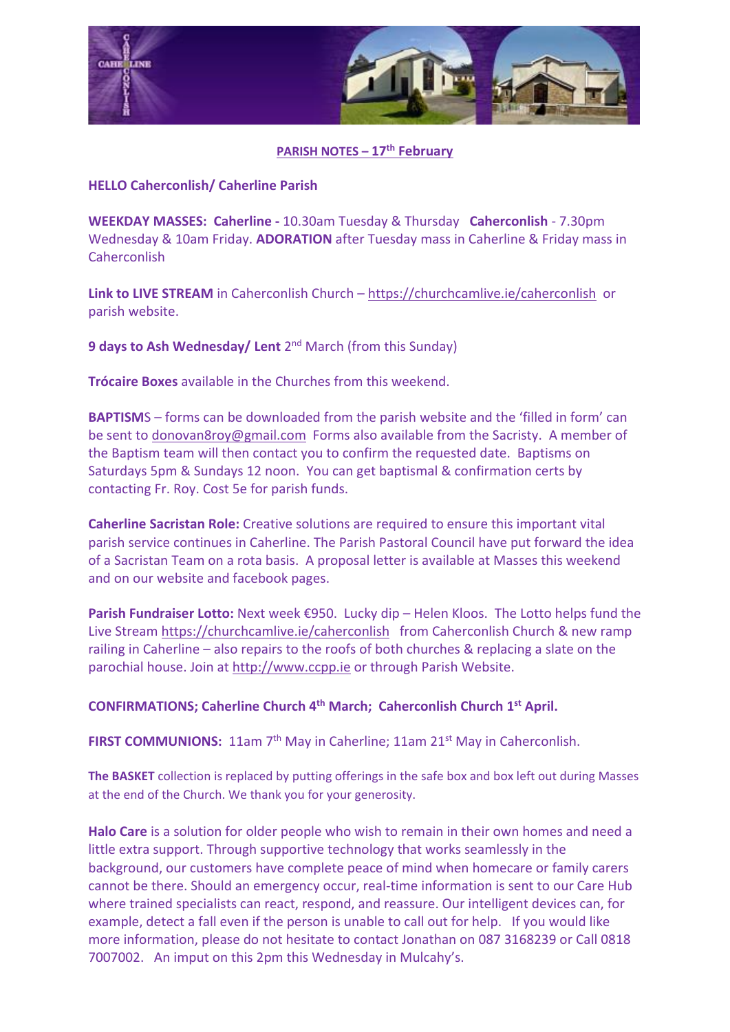

## **PARISH NOTES – 17th February**

## **HELLO Caherconlish/ Caherline Parish**

**WEEKDAY MASSES: Caherline -** 10.30am Tuesday & Thursday **Caherconlish** - 7.30pm Wednesday & 10am Friday. **ADORATION** after Tuesday mass in Caherline & Friday mass in Caherconlish

**Link to LIVE STREAM** in Caherconlish Church – <https://churchcamlive.ie/caherconlish>or parish website.

9 days to Ash Wednesday/ Lent 2<sup>nd</sup> March (from this Sunday)

**Trócaire Boxes** available in the Churches from this weekend.

**BAPTISM**S – forms can be downloaded from the parish website and the 'filled in form' can be sent to [donovan8roy@gmail.com](mailto:donovan8roy@gmail.com) Forms also available from the Sacristy. A member of the Baptism team will then contact you to confirm the requested date. Baptisms on Saturdays 5pm & Sundays 12 noon. You can get baptismal & confirmation certs by contacting Fr. Roy. Cost 5e for parish funds.

**Caherline Sacristan Role:** Creative solutions are required to ensure this important vital parish service continues in Caherline. The Parish Pastoral Council have put forward the idea of a Sacristan Team on a rota basis. A proposal letter is available at Masses this weekend and on our website and facebook pages.

**Parish Fundraiser Lotto:** Next week €950. Lucky dip – Helen Kloos. The Lotto helps fund the Live Stream <https://churchcamlive.ie/caherconlish>from Caherconlish Church & new ramp railing in Caherline – also repairs to the roofs of both churches & replacing a slate on the parochial house. Join at [http://www.ccpp.ie](http://www.ccpp.ie/) or through Parish Website.

## **CONFIRMATIONS; Caherline Church 4 th March; Caherconlish Church 1 st April.**

FIRST COMMUNIONS: 11am 7<sup>th</sup> May in Caherline; 11am 21<sup>st</sup> May in Caherconlish.

**The BASKET** collection is replaced by putting offerings in the safe box and box left out during Masses at the end of the Church. We thank you for your generosity.

**Halo Care** is a solution for older people who wish to remain in their own homes and need a little extra support. Through supportive technology that works seamlessly in the background, our customers have complete peace of mind when homecare or family carers cannot be there. Should an emergency occur, real-time information is sent to our Care Hub where trained specialists can react, respond, and reassure. Our intelligent devices can, for example, detect a fall even if the person is unable to call out for help. If you would like more information, please do not hesitate to contact Jonathan on 087 3168239 or Call 0818 7007002. An imput on this 2pm this Wednesday in Mulcahy's.